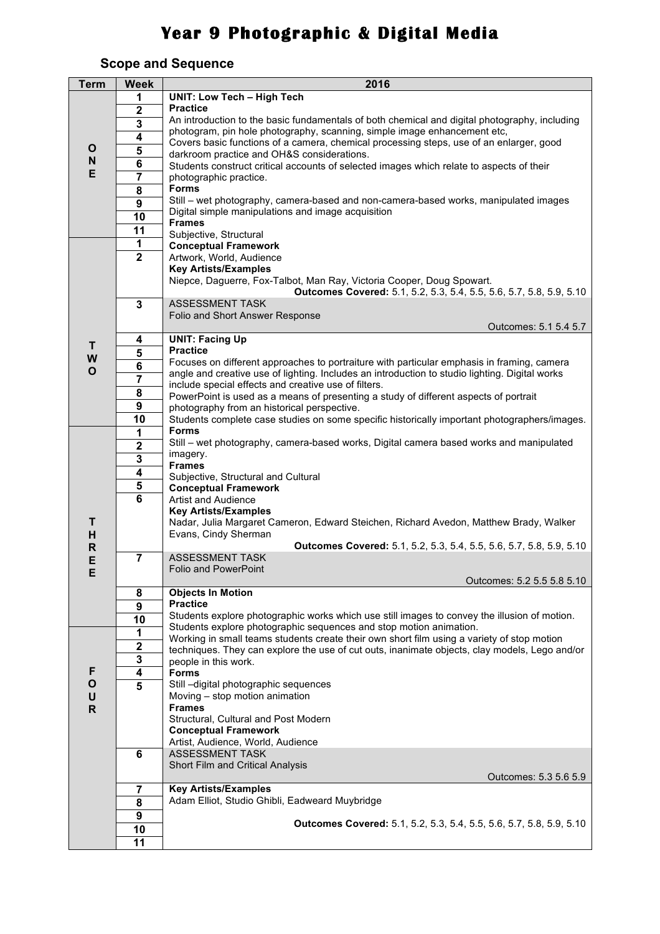## **Year 9 Photographic & Digital Media**

## **Scope and Sequence**

| <b>Term</b>             | <b>Week</b>             | 2016                                                                                                                                                                |
|-------------------------|-------------------------|---------------------------------------------------------------------------------------------------------------------------------------------------------------------|
|                         | 1                       | <b>UNIT: Low Tech - High Tech</b>                                                                                                                                   |
|                         | $\overline{2}$          | <b>Practice</b>                                                                                                                                                     |
|                         | $\overline{\mathbf{3}}$ | An introduction to the basic fundamentals of both chemical and digital photography, including                                                                       |
|                         | $\overline{4}$          | photogram, pin hole photography, scanning, simple image enhancement etc,<br>Covers basic functions of a camera, chemical processing steps, use of an enlarger, good |
| O                       | $\overline{\mathbf{5}}$ | darkroom practice and OH&S considerations.                                                                                                                          |
| $\mathbf N$             | $\overline{\mathbf{6}}$ | Students construct critical accounts of selected images which relate to aspects of their                                                                            |
| E                       | 7                       | photographic practice.                                                                                                                                              |
|                         | $\overline{\mathbf{8}}$ | <b>Forms</b>                                                                                                                                                        |
|                         | $\overline{9}$          | Still – wet photography, camera-based and non-camera-based works, manipulated images                                                                                |
|                         | 10                      | Digital simple manipulations and image acquisition<br><b>Frames</b>                                                                                                 |
|                         | $\overline{11}$         | Subjective, Structural                                                                                                                                              |
|                         | 1                       | <b>Conceptual Framework</b>                                                                                                                                         |
|                         | $\overline{2}$          | Artwork, World, Audience                                                                                                                                            |
|                         |                         | <b>Key Artists/Examples</b>                                                                                                                                         |
|                         |                         | Niepce, Daguerre, Fox-Talbot, Man Ray, Victoria Cooper, Doug Spowart.                                                                                               |
|                         |                         | Outcomes Covered: 5.1, 5.2, 5.3, 5.4, 5.5, 5.6, 5.7, 5.8, 5.9, 5.10                                                                                                 |
|                         | $\mathbf{3}$            | <b>ASSESSMENT TASK</b><br>Folio and Short Answer Response                                                                                                           |
|                         |                         | Outcomes: 5.1 5.4 5.7                                                                                                                                               |
|                         | 4                       | <b>UNIT: Facing Up</b>                                                                                                                                              |
| T                       | 5                       | <b>Practice</b>                                                                                                                                                     |
| W<br>$\mathbf{o}$       | 6                       | Focuses on different approaches to portraiture with particular emphasis in framing, camera                                                                          |
|                         | 7                       | angle and creative use of lighting. Includes an introduction to studio lighting. Digital works                                                                      |
|                         | 8                       | include special effects and creative use of filters.<br>PowerPoint is used as a means of presenting a study of different aspects of portrait                        |
|                         | 9                       | photography from an historical perspective.                                                                                                                         |
|                         | 10                      | Students complete case studies on some specific historically important photographers/images.                                                                        |
|                         | 1                       | <b>Forms</b>                                                                                                                                                        |
|                         | $\mathbf 2$             | Still - wet photography, camera-based works, Digital camera based works and manipulated                                                                             |
|                         | $\overline{\mathbf{3}}$ | imagery.                                                                                                                                                            |
|                         | $\overline{\mathbf{r}}$ | <b>Frames</b><br>Subjective, Structural and Cultural                                                                                                                |
|                         | $\overline{\mathbf{5}}$ | <b>Conceptual Framework</b>                                                                                                                                         |
|                         | $\overline{6}$          | <b>Artist and Audience</b>                                                                                                                                          |
|                         |                         | <b>Key Artists/Examples</b>                                                                                                                                         |
| т                       |                         | Nadar, Julia Margaret Cameron, Edward Steichen, Richard Avedon, Matthew Brady, Walker                                                                               |
| H                       |                         | Evans, Cindy Sherman                                                                                                                                                |
| $\mathsf{R}$<br>E       | $\overline{7}$          | Outcomes Covered: 5.1, 5.2, 5.3, 5.4, 5.5, 5.6, 5.7, 5.8, 5.9, 5.10<br><b>ASSESSMENT TASK</b>                                                                       |
| Е                       |                         | Folio and PowerPoint                                                                                                                                                |
|                         |                         | Outcomes: 5.2 5.5 5.8 5.10                                                                                                                                          |
|                         | 8                       | <b>Objects In Motion</b>                                                                                                                                            |
|                         | 9                       | <b>Practice</b>                                                                                                                                                     |
|                         | $\overline{10}$         | Students explore photographic works which use still images to convey the illusion of motion.<br>Students explore photographic sequences and stop motion animation.  |
|                         | 1                       | Working in small teams students create their own short film using a variety of stop motion                                                                          |
|                         | $\overline{\mathbf{2}}$ | techniques. They can explore the use of cut outs, inanimate objects, clay models, Lego and/or                                                                       |
|                         | ${\bf 3}$               | people in this work.                                                                                                                                                |
| F                       | 4                       | <b>Forms</b>                                                                                                                                                        |
| $\mathbf{o}$            | 5                       | Still -digital photographic sequences                                                                                                                               |
| $\sf U$<br>$\mathsf{R}$ |                         | Moving - stop motion animation<br><b>Frames</b>                                                                                                                     |
|                         |                         | Structural, Cultural and Post Modern                                                                                                                                |
|                         |                         | <b>Conceptual Framework</b>                                                                                                                                         |
|                         |                         | Artist, Audience, World, Audience                                                                                                                                   |
|                         | 6                       | <b>ASSESSMENT TASK</b>                                                                                                                                              |
|                         |                         | Short Film and Critical Analysis                                                                                                                                    |
|                         | $\overline{7}$          | Outcomes: 5.3 5.6 5.9<br><b>Key Artists/Examples</b>                                                                                                                |
|                         | $\overline{\mathbf{8}}$ | Adam Elliot, Studio Ghibli, Eadweard Muybridge                                                                                                                      |
|                         | $\overline{9}$          |                                                                                                                                                                     |
|                         | 10                      | Outcomes Covered: 5.1, 5.2, 5.3, 5.4, 5.5, 5.6, 5.7, 5.8, 5.9, 5.10                                                                                                 |
|                         | 11                      |                                                                                                                                                                     |
|                         |                         |                                                                                                                                                                     |